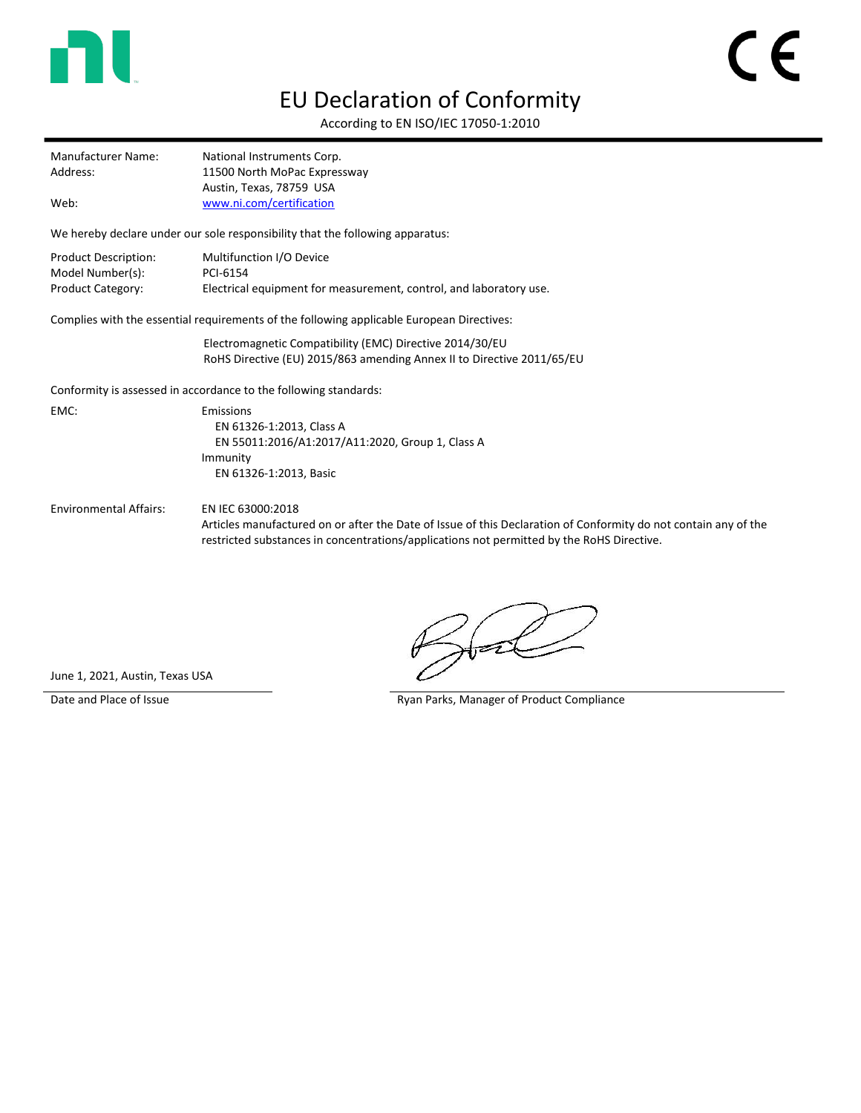

## EU Declaration of Conformity

According to EN ISO/IEC 17050-1:2010

| Manufacturer Name: | National Instruments Corp.   |
|--------------------|------------------------------|
| Address:           | 11500 North MoPac Expressway |
|                    | Austin, Texas, 78759 USA     |
| Web:               | www.ni.com/certification     |

We hereby declare under our sole responsibility that the following apparatus:

| Product Description: | Multifunction I/O Device                                           |
|----------------------|--------------------------------------------------------------------|
| Model Number(s):     | PCI-6154                                                           |
| Product Category:    | Electrical equipment for measurement, control, and laboratory use. |

Complies with the essential requirements of the following applicable European Directives:

Electromagnetic Compatibility (EMC) Directive 2014/30/EU RoHS Directive (EU) 2015/863 amending Annex II to Directive 2011/65/EU

Conformity is assessed in accordance to the following standards:

EMC: Emissions EN 61326-1:2013, Class A EN 55011:2016/A1:2017/A11:2020, Group 1, Class A Immunity EN 61326-1:2013, Basic

Environmental Affairs: EN IEC 63000:2018

Articles manufactured on or after the Date of Issue of this Declaration of Conformity do not contain any of the restricted substances in concentrations/applications not permitted by the RoHS Directive.

June 1, 2021, Austin, Texas USA

Date and Place of Issue **Ryan Parks, Manager of Product Compliance**